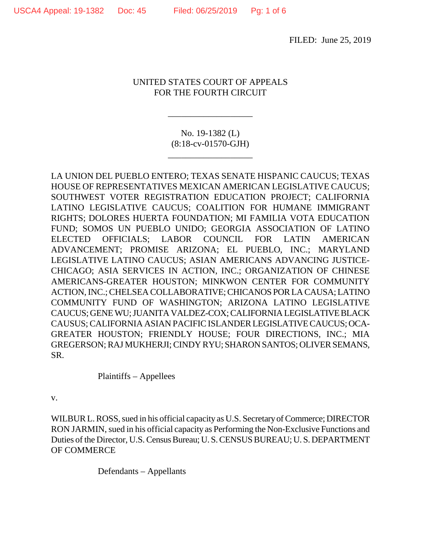FILED: June 25, 2019

## UNITED STATES COURT OF APPEALS FOR THE FOURTH CIRCUIT

No. 19-1382 (L) (8:18-cv-01570-GJH)

\_\_\_\_\_\_\_\_\_\_\_\_\_\_\_\_\_\_\_

\_\_\_\_\_\_\_\_\_\_\_\_\_\_\_\_\_\_\_

LA UNION DEL PUEBLO ENTERO; TEXAS SENATE HISPANIC CAUCUS; TEXAS HOUSE OF REPRESENTATIVES MEXICAN AMERICAN LEGISLATIVE CAUCUS; SOUTHWEST VOTER REGISTRATION EDUCATION PROJECT; CALIFORNIA LATINO LEGISLATIVE CAUCUS; COALITION FOR HUMANE IMMIGRANT RIGHTS; DOLORES HUERTA FOUNDATION; MI FAMILIA VOTA EDUCATION FUND; SOMOS UN PUEBLO UNIDO; GEORGIA ASSOCIATION OF LATINO ELECTED OFFICIALS; LABOR COUNCIL FOR LATIN AMERICAN ADVANCEMENT; PROMISE ARIZONA; EL PUEBLO, INC.; MARYLAND LEGISLATIVE LATINO CAUCUS; ASIAN AMERICANS ADVANCING JUSTICE-CHICAGO; ASIA SERVICES IN ACTION, INC.; ORGANIZATION OF CHINESE AMERICANS-GREATER HOUSTON; MINKWON CENTER FOR COMMUNITY ACTION, INC.; CHELSEA COLLABORATIVE; CHICANOS POR LA CAUSA; LATINO COMMUNITY FUND OF WASHINGTON; ARIZONA LATINO LEGISLATIVE CAUCUS; GENE WU; JUANITA VALDEZ-COX; CALIFORNIA LEGISLATIVE BLACK CAUSUS; CALIFORNIA ASIAN PACIFIC ISLANDER LEGISLATIVE CAUCUS; OCA-GREATER HOUSTON; FRIENDLY HOUSE; FOUR DIRECTIONS, INC.; MIA GREGERSON; RAJ MUKHERJI; CINDY RYU; SHARON SANTOS; OLIVER SEMANS, SR.

Plaintiffs – Appellees

v.

WILBUR L. ROSS, sued in his official capacity as U.S. Secretary of Commerce; DIRECTOR RON JARMIN, sued in his official capacity as Performing the Non-Exclusive Functions and Duties of the Director, U.S. Census Bureau; U. S. CENSUS BUREAU; U. S. DEPARTMENT OF COMMERCE

Defendants – Appellants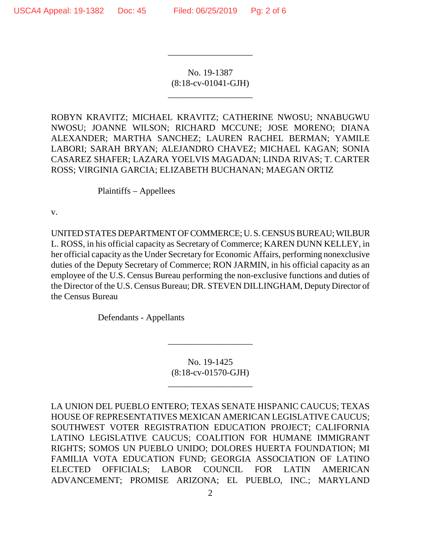No. 19-1387 (8:18-cv-01041-GJH)

\_\_\_\_\_\_\_\_\_\_\_\_\_\_\_\_\_\_\_

\_\_\_\_\_\_\_\_\_\_\_\_\_\_\_\_\_\_\_

ROBYN KRAVITZ; MICHAEL KRAVITZ; CATHERINE NWOSU; NNABUGWU NWOSU; JOANNE WILSON; RICHARD MCCUNE; JOSE MORENO; DIANA ALEXANDER; MARTHA SANCHEZ; LAUREN RACHEL BERMAN; YAMILE LABORI; SARAH BRYAN; ALEJANDRO CHAVEZ; MICHAEL KAGAN; SONIA CASAREZ SHAFER; LAZARA YOELVIS MAGADAN; LINDA RIVAS; T. CARTER ROSS; VIRGINIA GARCIA; ELIZABETH BUCHANAN; MAEGAN ORTIZ

Plaintiffs – Appellees

v.

UNITED STATES DEPARTMENT OF COMMERCE; U. S. CENSUS BUREAU; WILBUR L. ROSS, in his official capacity as Secretary of Commerce; KAREN DUNN KELLEY, in her official capacity as the Under Secretary for Economic Affairs, performing nonexclusive duties of the Deputy Secretary of Commerce; RON JARMIN, in his official capacity as an employee of the U.S. Census Bureau performing the non-exclusive functions and duties of the Director of the U.S. Census Bureau; DR. STEVEN DILLINGHAM, Deputy Director of the Census Bureau

Defendants - Appellants

No. 19-1425 (8:18-cv-01570-GJH)

\_\_\_\_\_\_\_\_\_\_\_\_\_\_\_\_\_\_\_

\_\_\_\_\_\_\_\_\_\_\_\_\_\_\_\_\_\_\_

LA UNION DEL PUEBLO ENTERO; TEXAS SENATE HISPANIC CAUCUS; TEXAS HOUSE OF REPRESENTATIVES MEXICAN AMERICAN LEGISLATIVE CAUCUS; SOUTHWEST VOTER REGISTRATION EDUCATION PROJECT; CALIFORNIA LATINO LEGISLATIVE CAUCUS; COALITION FOR HUMANE IMMIGRANT RIGHTS; SOMOS UN PUEBLO UNIDO; DOLORES HUERTA FOUNDATION; MI FAMILIA VOTA EDUCATION FUND; GEORGIA ASSOCIATION OF LATINO ELECTED OFFICIALS; LABOR COUNCIL FOR LATIN AMERICAN ADVANCEMENT; PROMISE ARIZONA; EL PUEBLO, INC.; MARYLAND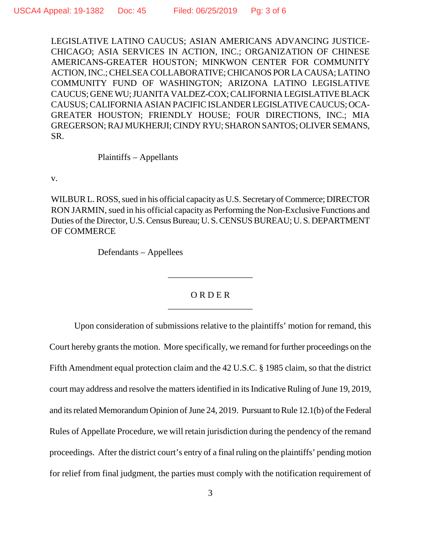LEGISLATIVE LATINO CAUCUS; ASIAN AMERICANS ADVANCING JUSTICE-CHICAGO; ASIA SERVICES IN ACTION, INC.; ORGANIZATION OF CHINESE AMERICANS-GREATER HOUSTON; MINKWON CENTER FOR COMMUNITY ACTION, INC.; CHELSEA COLLABORATIVE; CHICANOS POR LA CAUSA; LATINO COMMUNITY FUND OF WASHINGTON; ARIZONA LATINO LEGISLATIVE CAUCUS; GENE WU; JUANITA VALDEZ-COX; CALIFORNIA LEGISLATIVE BLACK CAUSUS; CALIFORNIA ASIAN PACIFIC ISLANDER LEGISLATIVE CAUCUS; OCA-GREATER HOUSTON; FRIENDLY HOUSE; FOUR DIRECTIONS, INC.; MIA GREGERSON; RAJ MUKHERJI; CINDY RYU; SHARON SANTOS; OLIVER SEMANS, SR.

Plaintiffs – Appellants

v.

WILBUR L. ROSS, sued in his official capacity as U.S. Secretary of Commerce; DIRECTOR RON JARMIN, sued in his official capacity as Performing the Non-Exclusive Functions and Duties of the Director, U.S. Census Bureau; U. S. CENSUS BUREAU; U. S. DEPARTMENT OF COMMERCE

Defendants – Appellees

## O R D E R \_\_\_\_\_\_\_\_\_\_\_\_\_\_\_\_\_\_\_

\_\_\_\_\_\_\_\_\_\_\_\_\_\_\_\_\_\_\_

Upon consideration of submissions relative to the plaintiffs' motion for remand, this Court hereby grants the motion. More specifically, we remand for further proceedings on the Fifth Amendment equal protection claim and the 42 U.S.C. § 1985 claim, so that the district court may address and resolve the matters identified in its Indicative Ruling of June 19, 2019, and its related Memorandum Opinion of June 24, 2019. Pursuant to Rule 12.1(b) of the Federal Rules of Appellate Procedure, we will retain jurisdiction during the pendency of the remand proceedings. After the district court's entry of a final ruling on the plaintiffs' pending motion for relief from final judgment, the parties must comply with the notification requirement of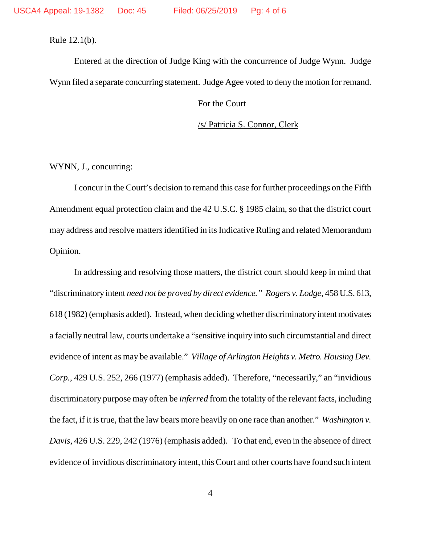Rule 12.1(b).

Entered at the direction of Judge King with the concurrence of Judge Wynn. Judge Wynn filed a separate concurring statement. Judge Agee voted to deny the motion for remand.

For the Court

/s/ Patricia S. Connor, Clerk

WYNN, J., concurring:

I concur in the Court's decision to remand this case for further proceedings on the Fifth Amendment equal protection claim and the 42 U.S.C. § 1985 claim, so that the district court may address and resolve matters identified in its Indicative Ruling and related Memorandum Opinion.

In addressing and resolving those matters, the district court should keep in mind that "discriminatory intent *need not be proved by direct evidence." Rogers v. Lodge*, 458 U.S. 613, 618 (1982) (emphasis added). Instead, when deciding whether discriminatory intent motivates a facially neutral law, courts undertake a "sensitive inquiry into such circumstantial and direct evidence of intent as may be available." *Village of Arlington Heights v. Metro. Housing Dev. Corp.*, 429 U.S. 252, 266 (1977) (emphasis added). Therefore, "necessarily," an "invidious discriminatory purpose may often be *inferred* from the totality of the relevant facts, including the fact, if it is true, that the law bears more heavily on one race than another." *Washington v. Davis*, 426 U.S. 229, 242 (1976) (emphasis added). To that end, even in the absence of direct evidence of invidious discriminatory intent, this Court and other courts have found such intent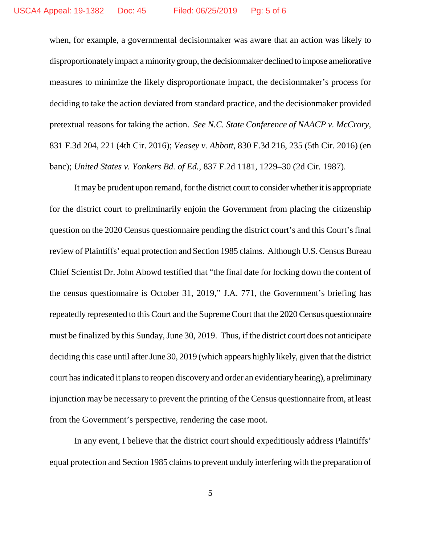when, for example, a governmental decisionmaker was aware that an action was likely to disproportionately impact a minority group, the decisionmaker declined to impose ameliorative measures to minimize the likely disproportionate impact, the decisionmaker's process for deciding to take the action deviated from standard practice, and the decisionmaker provided pretextual reasons for taking the action. *See N.C. State Conference of NAACP v. McCrory*, 831 F.3d 204, 221 (4th Cir. 2016); *Veasey v. Abbott*, 830 F.3d 216, 235 (5th Cir. 2016) (en banc); *United States v. Yonkers Bd. of Ed.*, 837 F.2d 1181, 1229–30 (2d Cir. 1987).

It may be prudent upon remand, for the district court to consider whether it is appropriate for the district court to preliminarily enjoin the Government from placing the citizenship question on the 2020 Census questionnaire pending the district court's and this Court's final review of Plaintiffs' equal protection and Section 1985 claims. Although U.S. Census Bureau Chief Scientist Dr. John Abowd testified that "the final date for locking down the content of the census questionnaire is October 31, 2019," J.A. 771, the Government's briefing has repeatedly represented to this Court and the Supreme Court that the 2020 Census questionnaire must be finalized by this Sunday, June 30, 2019. Thus, if the district court does not anticipate deciding this case until after June 30, 2019 (which appears highly likely, given that the district court has indicated it plans to reopen discovery and order an evidentiary hearing), a preliminary injunction may be necessary to prevent the printing of the Census questionnaire from, at least from the Government's perspective, rendering the case moot.

In any event, I believe that the district court should expeditiously address Plaintiffs' equal protection and Section 1985 claims to prevent unduly interfering with the preparation of